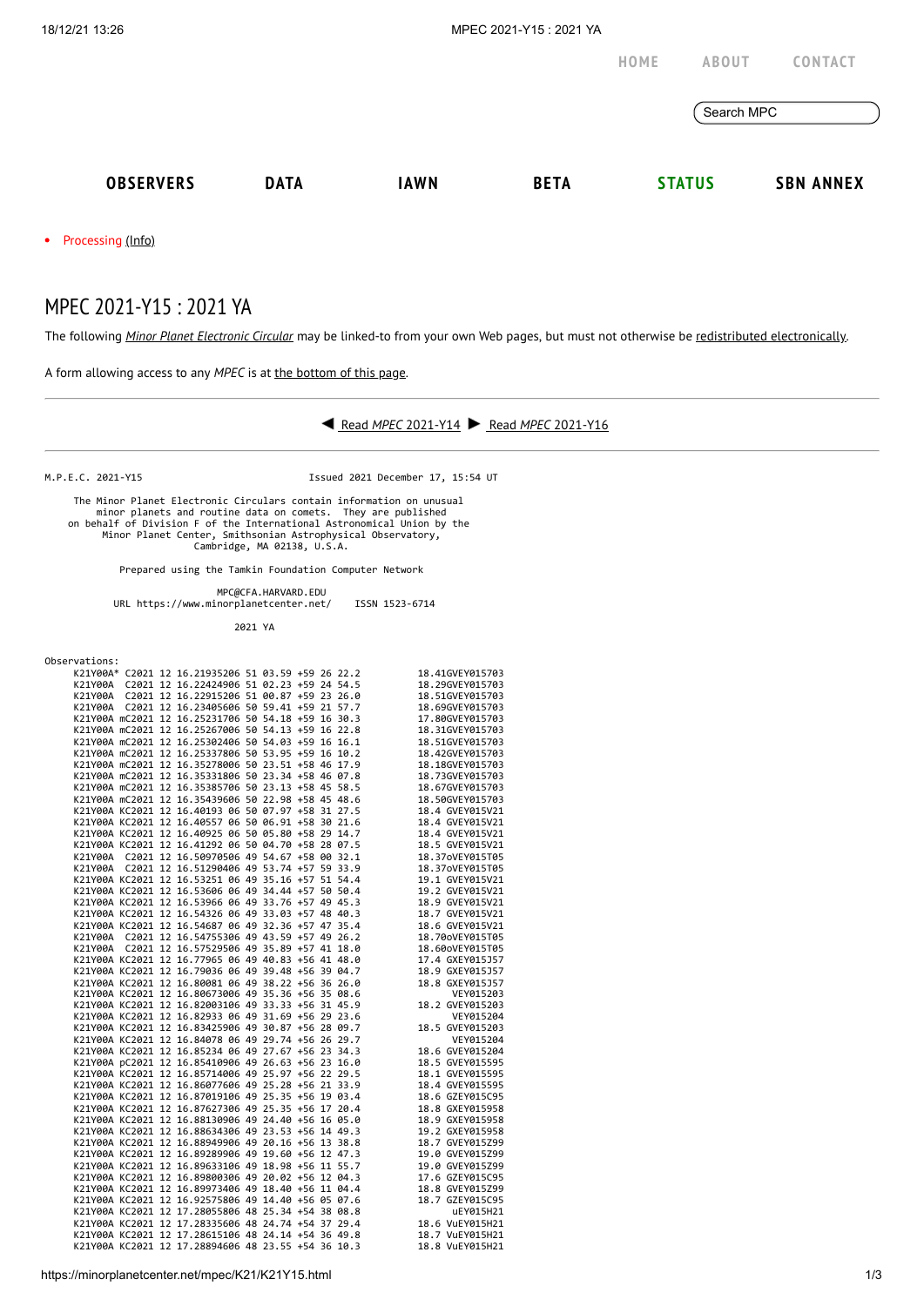

MPEC 2021-Y15 : 2021 YA

The following *Minor Planet [Electronic](https://minorplanetcenter.net/iau/services/MPEC.html) Circular* may be linked-to from your own Web pages, but must not otherwise be redistributed [electronically](https://minorplanetcenter.net/iau/WWWPolicy.html).

A form allowing access to any *MPEC* is at the [bottom](https://minorplanetcenter.net/mpec/K19/K21Y15.html#form) of this page.



M.P.E.C. 2021-Y15 Issued 2021 December 17, 15:54 UT

 The Minor Planet Electronic Circulars contain information on unusual minor planets and routine data on comets. They are published on behalf of Division F of the International Astronomical Union by the Minor Planet Center, Smithsonian Astrophysical Observatory, Cambridge, MA 02138, U.S.A.

Prepared using the Tamkin Foundation Computer Network

 MPC@CFA.HARVARD.EDU URL https://www.minorplanetcenter.net/ ISSN 1523-6714

2021 YA

| Observations: |  |
|---------------|--|
|---------------|--|

|  | K21Y00A* C2021 12 16.21935206 51 03.59 +59 26 22.2                                                                             |  |  | 18.41GVEY015703                    |
|--|--------------------------------------------------------------------------------------------------------------------------------|--|--|------------------------------------|
|  | K21Y00A C2021 12 16.22424906 51 02.23 +59 24 54.5                                                                              |  |  | 18.29GVEY015703                    |
|  |                                                                                                                                |  |  | 18.51GVEY015703                    |
|  | K21Y00A C2021 12 16.23405606 50 59.41 +59 21 57.7                                                                              |  |  | 18.69GVEY015703                    |
|  | K21Y00A mC2021 12 16.25231706 50 54.18 +59 16 30.3                                                                             |  |  | 17.80GVEY015703                    |
|  | K21Y00A mC2021 12 16.25267006 50 54.13 +59 16 22.8                                                                             |  |  | 18.31GVEY015703                    |
|  | K21Y00A mC2021 12 16.25302406 50 54.03 +59 16 16.1                                                                             |  |  | 18.51GVEY015703                    |
|  | K21Y00A mC2021 12 16.25337806 50 53.95 +59 16 10.2                                                                             |  |  | 18.42GVEY015703                    |
|  | K21Y00A mC2021 12 16.35278006 50 23.51 +58 46 17.9                                                                             |  |  | 18.18GVEY015703                    |
|  | K21Y00A mC2021 12 16.35331806 50 23.34 +58 46 07.8                                                                             |  |  | 18.73GVEY015703                    |
|  | K21Y00A mC2021 12 16.35385706 50 23.13 +58 45 58.5                                                                             |  |  | 18.67GVEY015703                    |
|  | K21Y00A mC2021 12 16.35439606 50 22.98 +58 45 48.6                                                                             |  |  | 18.50GVEY015703                    |
|  | K21Y00A KC2021 12 16.40193 06 50 07.97 +58 31 27.5                                                                             |  |  | 18.4 GVEY015V21                    |
|  | K21Y00A KC2021 12 16.40557 06 50 06.91 +58 30 21.6                                                                             |  |  | 18.4 GVEY015V21                    |
|  | K21Y00A KC2021 12 16.40925 06 50 05.80 +58 29 14.7                                                                             |  |  | 18.4 GVEY015V21                    |
|  | K21Y00A KC2021 12 16.41292 06 50 04.70 +58 28 07.5                                                                             |  |  | 18.5 GVEY015V21                    |
|  | K21Y00A C2021 12 16.50970506 49 54.67 +58 00 32.1                                                                              |  |  | 18.37oVEY015T05                    |
|  | K21Y00A C2021 12 16.51290406 49 53.74 +57 59 33.9                                                                              |  |  | 18.37oVEY015T05                    |
|  | K21Y00A KC2021 12 16.53251 06 49 35.16 +57 51 54.4                                                                             |  |  | 19.1 GVEY015V21                    |
|  | K21Y00A KC2021 12 16.53606 06 49 34.44 +57 50 50.4                                                                             |  |  | 19.2 GVEY015V21                    |
|  | K21Y00A KC2021 12 16.53966 06 49 33.76 +57 49 45.3                                                                             |  |  | 18.9 GVEY015V21                    |
|  | K21Y00A KC2021 12 16.54326 06 49 33.03 +57 48 40.3                                                                             |  |  | 18.7 GVEY015V21                    |
|  | K21Y00A KC2021 12 16.54687 06 49 32.36 +57 47 35.4                                                                             |  |  | 18.6 GVEY015V21                    |
|  | K21Y00A C2021 12 16.54755306 49 43.59 +57 49 26.2                                                                              |  |  | 18.70oVEY015T05                    |
|  | K21Y00A C2021 12 16.57529506 49 35.89 +57 41 18.0                                                                              |  |  | 18.60oVEY015T05                    |
|  | K21Y00A KC2021 12 16.77965 06 49 40.83 +56 41 48.0                                                                             |  |  | 17.4 GXEY015J57                    |
|  | K21Y00A KC2021 12 16.79036 06 49 39.48 +56 39 04.7                                                                             |  |  | 18.9 GXEY015J57                    |
|  | K21Y00A KC2021 12 16.80081 06 49 38.22 +56 36 26.0                                                                             |  |  | 18.8 GXEY015J57                    |
|  | катуоод ксарат - -<br>Катуоод КС2021 12 16.80673006 49 35.36 +56 35 08.6<br>Катуоод КС2021 12 16.82003106 49 33.33 +56 31 45.9 |  |  | VEY015203                          |
|  |                                                                                                                                |  |  | 18.2 GVEY015203                    |
|  | K21Y00A KC2021 12 16.82933 06 49 31.69 +56 29 23.6                                                                             |  |  | VEY015204                          |
|  | K21Y00A KC2021 12 16.83425906 49 30.87 +56 28 09.7                                                                             |  |  | 18.5 GVEY015203                    |
|  | K21Y00A KC2021 12 16.84078 06 49 29.74 +56 26 29.7                                                                             |  |  | VEY015204                          |
|  | K21Y00A KC2021 12 16.85234 06 49 27.67 +56 23 34.3                                                                             |  |  | 18.6 GVEY015204                    |
|  | K21Y00A pC2021 12 16.85410906 49 26.63 +56 23 16.0                                                                             |  |  | 18.5 GVEY015595                    |
|  | K21Y00A KC2021 12 16.85714006 49 25.97 +56 22 29.5                                                                             |  |  | 18.1 GVEY015595                    |
|  | K21Y00A KC2021 12 16.86077606 49 25.28 +56 21 33.9                                                                             |  |  | 18.4 GVEY015595                    |
|  | K21Y00A KC2021 12 16.87019106 49 25.35 +56 19 03.4                                                                             |  |  | 18.6 GZEY015C95                    |
|  | K21Y00A KC2021 12 16.87627306 49 25.35 +56 17 20.4                                                                             |  |  | 18.8 GXEY015958                    |
|  | K21Y00A KC2021 12 16.88130906 49 24.40 +56 16 05.0                                                                             |  |  | 18.9 GXEY015958                    |
|  | K21Y00A KC2021 12 16.88634306 49 23.53 +56 14 49.3                                                                             |  |  | 19.2 GXEY015958                    |
|  | K21Y00A KC2021 12 16.88949906 49 20.16 +56 13 38.8                                                                             |  |  | 18.7 GVEY015Z99                    |
|  | K21Y00A KC2021 12 16.89289906 49 19.60 +56 12 47.3                                                                             |  |  | 19.0 GVEY015Z99                    |
|  | K21Y00A KC2021 12 16.89633106 49 18.98 +56 11 55.7                                                                             |  |  | 19.0 GVEY015Z99                    |
|  | K21Y00A KC2021 12 16.89800306 49 20.02 +56 12 04.3<br>K21Y00A KC2021 12 16.89973406 49 18.40 +56 11 04.4                       |  |  | 17.6 GZEY015C95                    |
|  |                                                                                                                                |  |  | 18.8 GVEY015Z99<br>18.7 GZEY015C95 |
|  | K21Y00A KC2021 12 16.92575806 49 14.40 +56 05 07.6<br>K21Y00A KC2021 12 17.28055806 48 25.34 +54 38 08.8                       |  |  |                                    |
|  |                                                                                                                                |  |  | uEY015H21<br>18.6 VuEY015H21       |
|  | K21Y00A KC2021 12 17.28335606 48 24.74 +54 37 29.4<br>K21Y00A KC2021 12 17.28615106 48 24.14 +54 36 49.8                       |  |  |                                    |
|  | K21Y00A KC2021 12 17.28894606 48 23.55 +54 36 10.3                                                                             |  |  | 18.7 VuEY015H21                    |
|  |                                                                                                                                |  |  | 18.8 VuEY015H21                    |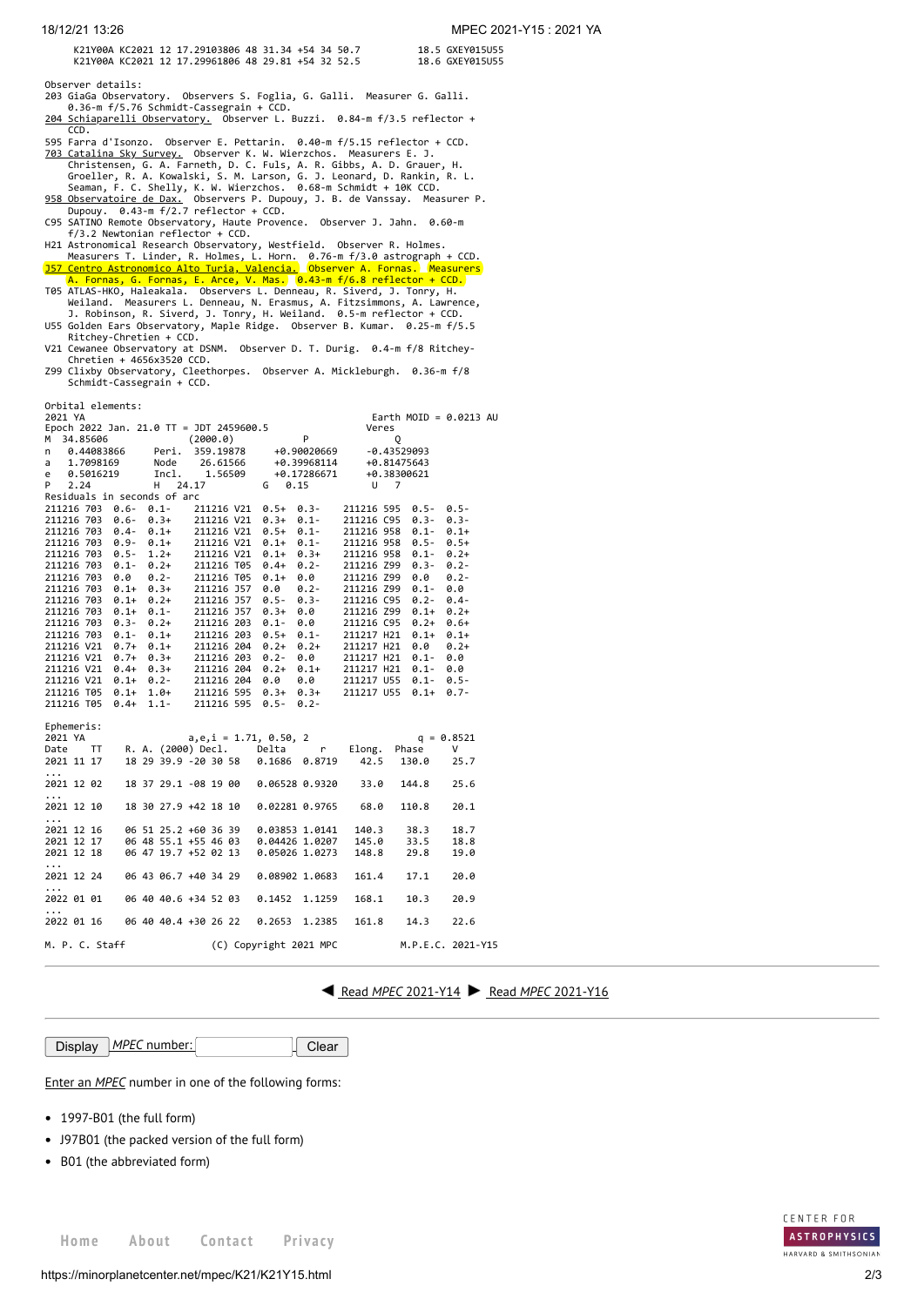K21Y00A KC2021 12 17.29103806 48 31.34 +54 34 50.7 18.5 GXEY015U55<br>K21Y00A KC2021 12 17.29961806 48 29.81 +54 32 52.5 18.6 GXEY015U55 K21Y00A KC2021 12 17.29961806 48 29.81 +54 32 52.5

Observer details:

- 203 GiaGa Observatory. Observers S. Foglia, G. Galli. Measurer G. Galli. 0.36-m f/5.76 Schmidt-Cassegrain + CCD. [204 Schiaparelli Observatory.](http://www.astrogeo.va.it/) Observer L. Buzzi. 0.84-m f/3.5 reflector +
- 
- CCD.<br>
595 Farra d'Isonzo. Observer E. Pettarin. 0.40-m f/5.15 reflector + CCD.<br>
703 Catalina Sky Survey, Observer K. W. Wierzchos. Measurers E. J.<br>
Christensen, G. A. Farneth, D. C. Fuls, A. R. Gibbs, A. D. Grauer, H.<br>
Gro
- 
- 
- H21 Astronomical Research Observatory, Westfield. Observer R. Holmes.<br>Measurers T. Linder, R. Holmes, L. Horn. 0.76-m f/3.0 astrograph + CCD.<br><mark>J57 Centro Astronomico Alto Turia, Valencia.</mark> Observer A. Fornas. Measurers
- 

A. Fornas, G. Fornas, E. Arce, V. Mas. 0.43-m f/6.8 reflector + CCD.<br>TOS ATLAS-HKO, Haleakala. Observers L. Denneau, R. Siverd, J. Tonry, H.<br>Weiland. Measurers L. Denneau, N. Erasmus, A. Fitzsimmons, A. Lawrence,<br>J. Robins

- Ritchey-Chretien + CCD. V21 Cewanee Observatory at DSNM. Observer D. T. Durig. 0.4-m f/8 Ritchey- Chretien + 4656x3520 CCD.
- Z99 Clixby Observatory, Cleethorpes. Observer A. Mickleburgh. 0.36-m f/8 Schmidt-Cassegrain + CCD.

| Orbital elements:                                                            |                |                                              |            |                           |                          |                                  |                    |                   |  |
|------------------------------------------------------------------------------|----------------|----------------------------------------------|------------|---------------------------|--------------------------|----------------------------------|--------------------|-------------------|--|
| 2021 YA<br>Earth MOID = $0.0213$ AU                                          |                |                                              |            |                           |                          |                                  |                    |                   |  |
| Epoch 2022 Jan. 21.0 TT = JDT 2459600.5                                      |                |                                              |            |                           | P =                      | Veres                            |                    |                   |  |
| 34.85606<br>м<br>0.44083866                                                  |                | (2000.0)<br>Peri. 359.19878 +0.90020669      |            |                           |                          |                                  | Q<br>$-0.43529093$ |                   |  |
| n<br>1.7098169<br>a                                                          | Node           |                                              |            |                           |                          | 26.61566 +0.39968114 +0.81475643 |                    |                   |  |
| 0.5016219<br>e                                                               |                | Incl.                                        | 1.56509    |                           | +0.17286671              |                                  | +0.38300621        |                   |  |
| 2.24<br>P.                                                                   | н              | 24.17                                        |            |                           |                          |                                  |                    |                   |  |
| $G \t 0.15$<br>$U$ 7<br>Residuals in seconds of arc                          |                |                                              |            |                           |                          |                                  |                    |                   |  |
| 211216 703                                                                   |                | $0.6 - 0.1 - 211216 V21$                     |            |                           | $0.5+0.3-$               |                                  | 211216 595 0.5-    | $0.5 -$           |  |
|                                                                              |                |                                              |            |                           |                          |                                  | 211216 C95 0.3-    | $0.3 -$           |  |
| 211216 703 0.6- 0.3+ 211216 V21<br>211216 703 0.4- 0.1+ 211216 V21           |                |                                              |            |                           | $0.3+0.1-0.5+0.1-$       |                                  | 211216 958 0.1-    | $0.1+$            |  |
| 211216 703 0.9-                                                              |                |                                              |            |                           |                          |                                  | 211216 958 0.5-    | $0.5+$            |  |
| 211216 703 0.5-                                                              |                | 0.1+ 211216 V21<br>1.2+ 211216 V21           |            |                           | $0.1+ 0.1-$<br>0.1+ 0.3+ |                                  | 211216 958 0.1-    | $0.2 +$           |  |
| 211216 703                                                                   | $0.1 -$        | 0.2+ 211216 T05                              |            | $0.4 +$                   | $0.2 -$                  |                                  | 211216 Z99 0.3-    | $0.2 -$           |  |
| 211216 703                                                                   | 0.0<br>$0.2 -$ |                                              | 211216 T05 | $0.1+$                    | 0.0                      |                                  | 211216 Z99 0.0     | $0.2 -$           |  |
| 211216 703                                                                   | $0.1+$         | $0.3+$                                       | 211216 J57 | 0.0                       | $0.2 -$                  |                                  | 211216 Z99 0.1-    | 0.0               |  |
| 211216 703 0.1+                                                              | $0.2 +$        |                                              | 211216 J57 | $0.5 -$                   | $0.3 -$                  |                                  | 211216 C95 0.2-    | $0.4 -$           |  |
| 211216 703                                                                   |                | $0.1+ 0.1- 211216 357$                       |            | $0.3+$                    | 0.0                      |                                  | 211216 Z99 0.1+    | $0.2 +$           |  |
| 211216 703                                                                   | $0.3 -$        |                                              |            |                           |                          | 211216 C95                       | $0.2+$             | $0.6+$            |  |
| 211216 703                                                                   | $0.1 -$        | 0.2+ 211216 203 0.1-<br>0.1+ 211216 203 0.5+ |            | $0.5+$                    | $0.0$<br>$0.1-$          | 211217 H21                       | $0.1+$             | $0.1+$            |  |
|                                                                              |                |                                              |            |                           |                          | 211217 H21                       | 0.0                | $0.2 +$           |  |
| 211216 V21 0.7+ 0.1+ 211216 204 0.2+<br>211216 V21 0.7+ 0.3+ 211216 203 0.2- |                |                                              |            |                           | 0.2+<br>0.0              |                                  | 211217 H21 0.1-    | 0.0               |  |
|                                                                              |                |                                              |            | $0.2 +$                   | $0.1+$                   | 211217 H21                       | $0.1 -$            | 0.0               |  |
| 211216 V21 0.4+ 0.3+ 211216 204 0.2+<br>211216 V21 0.1+ 0.2- 211216 204 0.0  |                |                                              |            |                           | 0.0                      |                                  | 211217 U55 0.1-    | $0.5 -$           |  |
| 211216 T05                                                                   |                | $0.1+ 1.0+ 211216595$                        |            | $0.3+$                    | $0.3+$                   | 211217 U55                       | $0.1+$             | $0.7 -$           |  |
| 211216 T05 0.4+ 1.1-                                                         |                |                                              | 211216 595 | $0.5 -$                   | $0.2 -$                  |                                  |                    |                   |  |
|                                                                              |                |                                              |            |                           |                          |                                  |                    |                   |  |
| Ephemeris:                                                                   |                |                                              |            |                           |                          |                                  |                    |                   |  |
| 2021 YA                                                                      |                |                                              |            | $a, e, i = 1.71, 0.50, 2$ |                          |                                  |                    | $q = 0.8521$      |  |
| TT T<br>Date                                                                 |                | R. A. (2000) Decl. Delta                     |            |                           | r                        | Elong.                           | Phase              | v                 |  |
| 2021 11 17                                                                   |                | 18 29 39.9 -20 30 58 0.1686 0.8719           |            |                           |                          | 42.5                             | 130.0              | 25.7              |  |
| $\cdots$                                                                     |                |                                              |            |                           |                          |                                  |                    |                   |  |
| 2021 12 02                                                                   |                | 18 37 29.1 -08 19 00                         |            | 0.06528 0.9320            |                          | 33.0                             | 144.8              | 25.6              |  |
| $\cdots$                                                                     |                |                                              |            |                           |                          |                                  |                    |                   |  |
| 2021 12 10                                                                   |                | 18 30 27.9 +42 18 10                         |            |                           |                          | 0.02281 0.9765 68.0              | 110.8              | 20.1              |  |
| .                                                                            |                |                                              |            |                           |                          |                                  |                    |                   |  |
| 2021 12 16                                                                   |                | 06 51 25.2 +60 36 39 0.03853 1.0141          |            |                           |                          | 140.3                            | 38.3               | 18.7              |  |
| 2021 12 17                                                                   |                | 06 48 55.1 +55 46 03  0.04426 1.0207         |            |                           |                          | 145.0                            | 33.5               | 18.8              |  |
| 2021 12 18                                                                   |                | 06 47 19.7 +52 02 13 0.05026 1.0273          |            |                           |                          | 148.8                            | 29.8               | 19.0              |  |
| $\cdots$                                                                     |                |                                              |            |                           |                          |                                  |                    |                   |  |
| 2021 12 24                                                                   |                | 06 43 06.7 +40 34 29                         |            | 0.08902 1.0683            |                          | 161.4                            | 17.1               | 20.0              |  |
| $\cdots$                                                                     |                |                                              |            |                           |                          |                                  |                    |                   |  |
| 2022 01 01                                                                   |                | 06 40 40.6 +34 52 03                         |            | 0.1452                    | 1.1259                   | 168.1                            | 10.3               | 20.9              |  |
| .                                                                            |                |                                              |            |                           |                          |                                  |                    |                   |  |
| 2022 01 16                                                                   |                | 06 40 40.4 +30 26 22 0.2653                  |            |                           | 1.2385                   | 161.8                            | 14.3               | 22.6              |  |
| M. P. C. Staff                                                               |                |                                              |            | (C) Copyright 2021 MPC    |                          |                                  |                    | M.P.E.C. 2021-Y15 |  |

**Example 1[2021-Y14](https://minorplanetcenter.net/mpec/K21/K21Y14.html) Read** *MPEC* [2021-Y16](https://minorplanetcenter.net/mpec/K21/K21Y16.html)

**Display** *MPEC* number: Clear

Enter an *[MPEC](https://minorplanetcenter.net/iau/services/MPEC.html)* number in one of the following forms:

- 1997-B01 (the full form)
- J97B01 (the packed version of the full form)
- B01 (the abbreviated form)